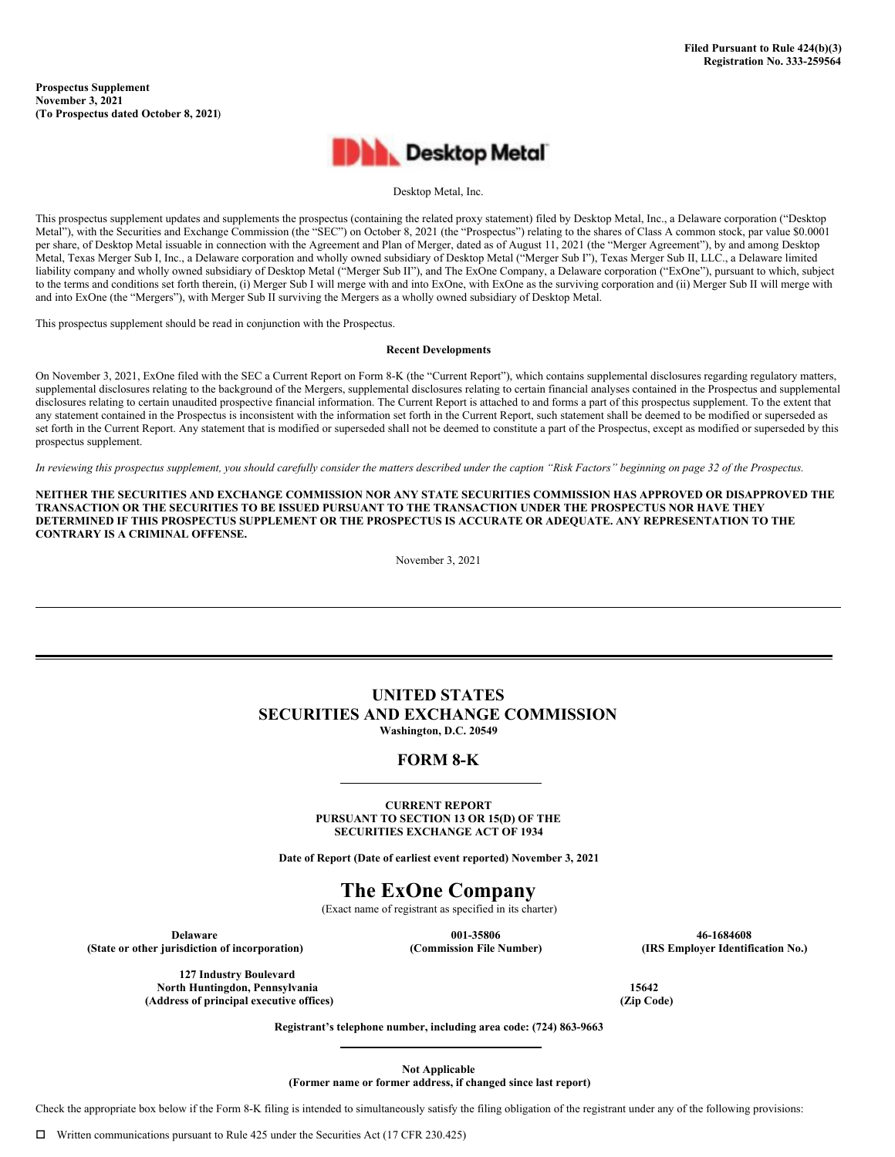**Prospectus Supplement November 3, 2021 (To Prospectus dated October 8, 2021**)



Desktop Metal, Inc.

This prospectus supplement updates and supplements the prospectus (containing the related proxy statement) filed by Desktop Metal, Inc., a Delaware corporation ("Desktop Metal"), with the Securities and Exchange Commission (the "SEC") on October 8, 2021 (the "Prospectus") relating to the shares of Class A common stock, par value \$0.0001 per share, of Desktop Metal issuable in connection with the Agreement and Plan of Merger, dated as of August 11, 2021 (the "Merger Agreement"), by and among Desktop Metal, Texas Merger Sub I, Inc., a Delaware corporation and wholly owned subsidiary of Desktop Metal ("Merger Sub I"), Texas Merger Sub II, LLC., a Delaware limited liability company and wholly owned subsidiary of Desktop Metal ("Merger Sub II"), and The ExOne Company, a Delaware corporation ("ExOne"), pursuant to which, subject to the terms and conditions set forth therein, (i) Merger Sub I will merge with and into ExOne, with ExOne as the surviving corporation and (ii) Merger Sub II will merge with and into ExOne (the "Mergers"), with Merger Sub II surviving the Mergers as a wholly owned subsidiary of Desktop Metal.

This prospectus supplement should be read in conjunction with the Prospectus.

#### **Recent Developments**

On November 3, 2021, ExOne filed with the SEC a Current Report on Form 8-K (the "Current Report"), which contains supplemental disclosures regarding regulatory matters, supplemental disclosures relating to the background of the Mergers, supplemental disclosures relating to certain financial analyses contained in the Prospectus and supplemental disclosures relating to certain unaudited prospective financial information. The Current Report is attached to and forms a part of this prospectus supplement. To the extent that any statement contained in the Prospectus is inconsistent with the information set forth in the Current Report, such statement shall be deemed to be modified or superseded as set forth in the Current Report. Any statement that is modified or superseded shall not be deemed to constitute a part of the Prospectus, except as modified or superseded by this prospectus supplement.

In reviewing this prospectus supplement, you should carefully consider the matters described under the caption "Risk Factors" beginning on page 32 of the Prospectus.

NEITHER THE SECURITIES AND EXCHANGE COMMISSION NOR ANY STATE SECURITIES COMMISSION HAS APPROVED OR DISAPPROVED THE **TRANSACTION OR THE SECURITIES TO BE ISSUED PURSUANT TO THE TRANSACTION UNDER THE PROSPECTUS NOR HAVE THEY DETERMINED IF THIS PROSPECTUS SUPPLEMENT OR THE PROSPECTUS IS ACCURATE OR ADEQUATE. ANY REPRESENTATION TO THE CONTRARY IS A CRIMINAL OFFENSE.**

November 3, 2021

# **UNITED STATES SECURITIES AND EXCHANGE COMMISSION Washington, D.C. 20549**

## **FORM 8-K**

**CURRENT REPORT PURSUANT TO SECTION 13 OR 15(D) OF THE SECURITIES EXCHANGE ACT OF 1934**

**Date of Report (Date of earliest event reported) November 3, 2021**

# **The ExOne Company**

(Exact name of registrant as specified in its charter)

**Delaware 001-35806 46-1684608 (State or other jurisdiction of incorporation) (Commission File Number) (IRS Employer Identification No.)**

**127 Industry Boulevard North Huntingdon, Pennsylvania 15642 (Address of principal executive offices) (Zip Code)**

**Registrant's telephone number, including area code: (724) 863-9663**

**Not Applicable**

**(Former name or former address, if changed since last report)**

Check the appropriate box below if the Form 8-K filing is intended to simultaneously satisfy the filing obligation of the registrant under any of the following provisions: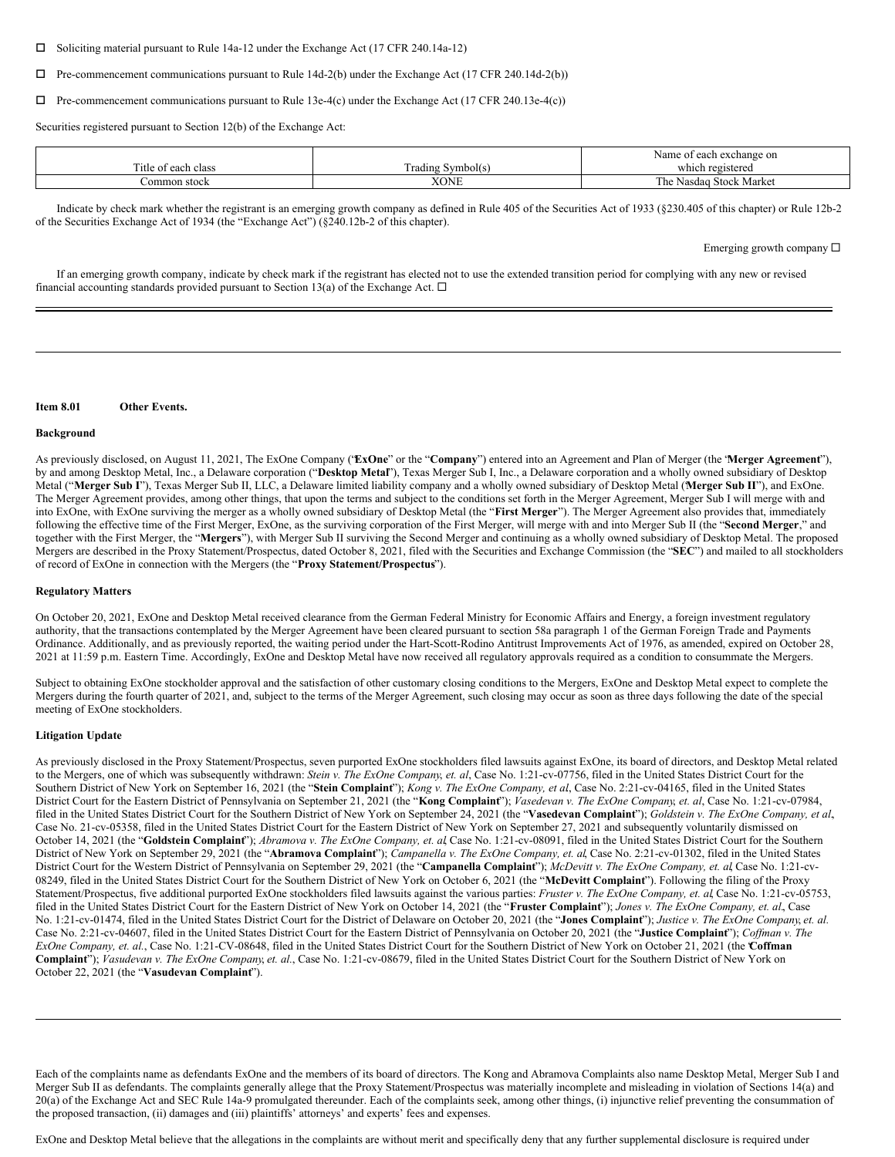$\square$  Soliciting material pursuant to Rule 14a-12 under the Exchange Act (17 CFR 240.14a-12)

 $\Box$  Pre-commencement communications pursuant to Rule 14d-2(b) under the Exchange Act (17 CFR 240.14d-2(b))

 $\Box$  Pre-commencement communications pursuant to Rule 13e-4(c) under the Exchange Act (17 CFR 240.13e-4(c))

Securities registered pursuant to Section 12(b) of the Exchange Act:

|                                                  |                             | Name<br>t each exchange on<br>. AT<br>u |
|--------------------------------------------------|-----------------------------|-----------------------------------------|
| $\overline{\phantom{a}}$<br>l'itle of each class | $\sim$<br>Trading Symbol(s) | which registered                        |
| ommon stock                                      | XONE                        | <b>Stock Market</b><br>he<br>Nasdag     |

Indicate by check mark whether the registrant is an emerging growth company as defined in Rule 405 of the Securities Act of 1933 (§230.405 of this chapter) or Rule 12b-2 of the Securities Exchange Act of 1934 (the "Exchange Act") (§240.12b-2 of this chapter).

Emerging growth company  $\square$ 

If an emerging growth company, indicate by check mark if the registrant has elected not to use the extended transition period for complying with any new or revised financial accounting standards provided pursuant to Section 13(a) of the Exchange Act.  $\Box$ 

#### **Item 8.01 Other Events.**

#### **Background**

As previously disclosed, on August 11, 2021, The ExOne Company ("**ExOne**" or the "**Company**") entered into an Agreement and Plan of Merger (the "**Merger Agreement**"), by and among Desktop Metal, Inc., a Delaware corporation ("**Desktop Metal**"), Texas Merger Sub I, Inc., a Delaware corporation and a wholly owned subsidiary of Desktop Metal ("**Merger Sub I**"), Texas Merger Sub II, LLC, a Delaware limited liability company and a wholly owned subsidiary of Desktop Metal ("**Merger Sub II**"), and ExOne. The Merger Agreement provides, among other things, that upon the terms and subject to the conditions set forth in the Merger Agreement, Merger Sub I will merge with and into ExOne, with ExOne surviving the merger as a wholly owned subsidiary of Desktop Metal (the "**First Merger**"). The Merger Agreement also provides that, immediately following the effective time of the First Merger, ExOne, as the surviving corporation of the First Merger, will merge with and into Merger Sub II (the "**Second Merger**," and together with the First Merger, the "**Mergers**"), with Merger Sub II surviving the Second Merger and continuing as a wholly owned subsidiary of Desktop Metal. The proposed Mergers are described in the Proxy Statement/Prospectus, dated October 8, 2021, filed with the Securities and Exchange Commission (the "**SEC**") and mailed to all stockholders of record of ExOne in connection with the Mergers (the "**Proxy Statement/Prospectus**").

#### **Regulatory Matters**

On October 20, 2021, ExOne and Desktop Metal received clearance from the German Federal Ministry for Economic Affairs and Energy, a foreign investment regulatory authority, that the transactions contemplated by the Merger Agreement have been cleared pursuant to section 58a paragraph 1 of the German Foreign Trade and Payments Ordinance. Additionally, and as previously reported, the waiting period under the Hart-Scott-Rodino Antitrust Improvements Act of 1976, as amended, expired on October 28, 2021 at 11:59 p.m. Eastern Time. Accordingly, ExOne and Desktop Metal have now received all regulatory approvals required as a condition to consummate the Mergers.

Subject to obtaining ExOne stockholder approval and the satisfaction of other customary closing conditions to the Mergers, ExOne and Desktop Metal expect to complete the Mergers during the fourth quarter of 2021, and, subject to the terms of the Merger Agreement, such closing may occur as soon as three days following the date of the special meeting of ExOne stockholders.

#### **Litigation Update**

As previously disclosed in the Proxy Statement/Prospectus, seven purported ExOne stockholders filed lawsuits against ExOne, its board of directors, and Desktop Metal related to the Mergers, one of which was subsequently withdrawn: *Stein v. The ExOne Company*, *et. al*, Case No. 1:21-cv-07756, filed in the United States District Court for the Southern District of New York on September 16, 2021 (the "Stein Complaint"); Kong v. The ExOne Company, et al, Case No. 2:21-cv-04165, filed in the United States District Court for the Eastern District of Pennsylvania on September 21, 2021 (the "Kong Complaint"); Vasedevan v. The ExOne Company, et. al, Case No. 1:21-cv-07984, filed in the United States District Court for the Southern District of New York on September 24, 2021 (the "Vasedevan Complaint"); Goldstein v. The ExOne Company, et al. Case No. 21-cv-05358, filed in the United States District Court for the Eastern District of New York on September 27, 2021 and subsequently voluntarily dismissed on October 14, 2021 (the "Goldstein Complaint"); Abramova v. The ExOne Company, et. al, Case No. 1:21-cv-08091, filed in the United States District Court for the Southern District of New York on September 29, 2021 (the "Abramova Complaint"); Campanella v. The ExOne Company, et. al, Case No. 2:21-cv-01302, filed in the United States District Court for the Western District of Pennsylvania on September 29, 2021 (the "Campanella Complaint"); McDevitt v. The ExOne Company, et. al, Case No. 1:21-cv-08249, filed in the United States District Court for the Southern District of New York on October 6, 2021 (the "**McDevitt Complaint**"). Following the filing of the Proxy Statement/Prospectus, five additional purported ExOne stockholders filed lawsuits against the various parties: *Fruster v. The ExOne Company, et. al*, Case No. 1:21-cv-05753, filed in the United States District Court for the Eastern District of New York on October 14, 2021 (the "Fruster Complaint"); Jones v. The ExOne Company, et. al., Case No. 1:21-cv-01474, filed in the United States District Court for the District of Delaware on October 20, 2021 (the "Jones Complaint"); Justice v. The ExOne Company, et. al. Case No. 2:21-cv-04607, filed in the United States District Court for the Eastern District of Pennsylvania on October 20, 2021 (the "Justice Complaint"); *Coffman v. The ExOne Company, et. al.*, Case No. 1:21-CV-08648, filed in the United States District Court for the Southern District of New York on October 21, 2021 (the "**Coffman Complaint**"); *Vasudevan v. The ExOne Company*, *et. al.*, Case No. 1:21-cv-08679, filed in the United States District Court for the Southern District of New York on October 22, 2021 (the "**Vasudevan Complaint**").

ExOne and Desktop Metal believe that the allegations in the complaints are without merit and specifically deny that any further supplemental disclosure is required under

Each of the complaints name as defendants ExOne and the members of its board of directors. The Kong and Abramova Complaints also name Desktop Metal, Merger Sub I and Merger Sub II as defendants. The complaints generally allege that the Proxy Statement/Prospectus was materially incomplete and misleading in violation of Sections 14(a) and 20(a) of the Exchange Act and SEC Rule 14a-9 promulgated thereunder. Each of the complaints seek, among other things, (i) injunctive relief preventing the consummation of the proposed transaction, (ii) damages and (iii) plaintiffs' attorneys' and experts' fees and expenses.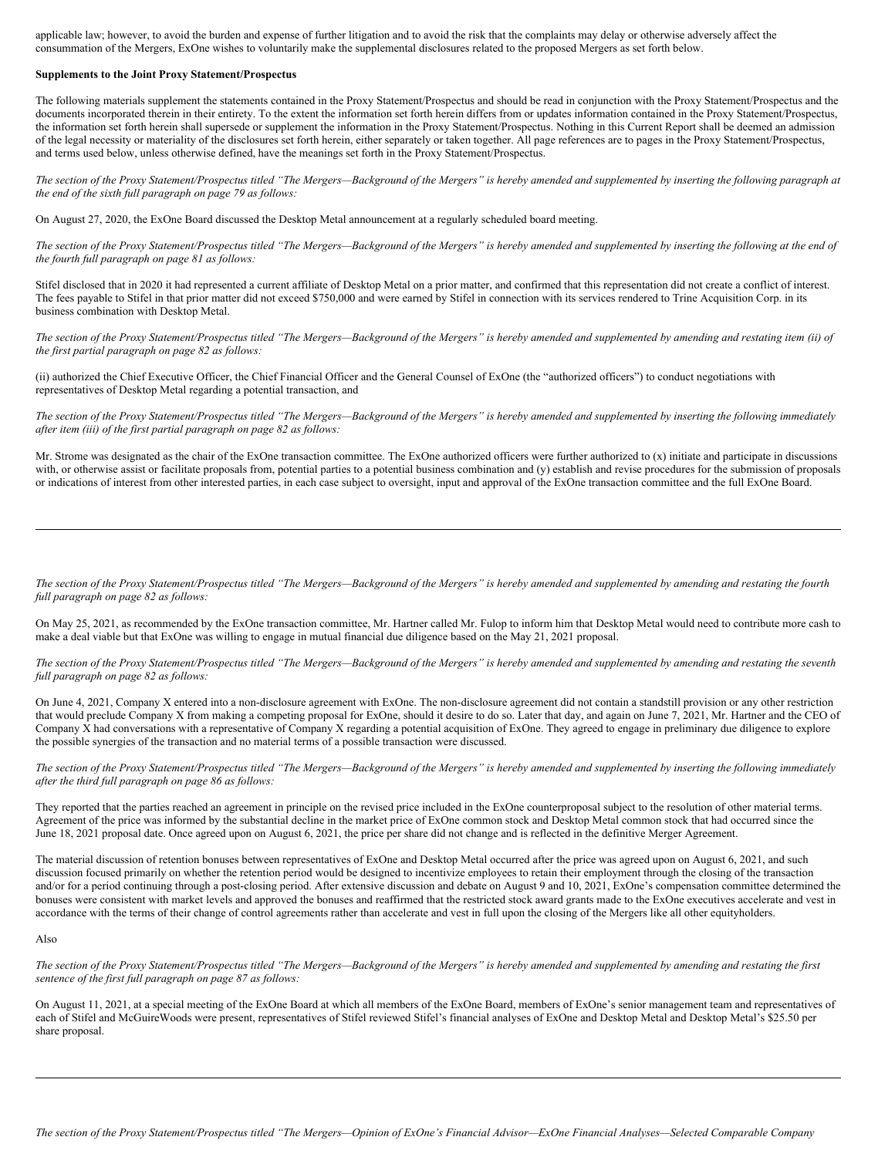applicable law; however, to avoid the burden and expense of further litigation and to avoid the risk that the complaints may delay or otherwise adversely affect the consummation of the Mergers, ExOne wishes to voluntarily make the supplemental disclosures related to the proposed Mergers as set forth below.

#### **Supplements to the Joint Proxy Statement/Prospectus**

The following materials supplement the statements contained in the Proxy Statement/Prospectus and should be read in conjunction with the Proxy Statement/Prospectus and the documents incorporated therein in their entirety. To the extent the information set forth herein differs from or updates information contained in the Proxy Statement/Prospectus, the information set forth herein shall supersede or supplement the information in the Proxy Statement/Prospectus. Nothing in this Current Report shall be deemed an admission of the legal necessity or materiality of the disclosures set forth herein, either separately or taken together. All page references are to pages in the Proxy Statement/Prospectus, and terms used below, unless otherwise defined, have the meanings set forth in the Proxy Statement/Prospectus.

The section of the Proxy Statement/Prospectus titled "The Mergers—Background of the Mergers" is hereby amended and supplemented by inserting the following paragraph at *the end of the sixth full paragraph on page 79 as follows:*

On August 27, 2020, the ExOne Board discussed the Desktop Metal announcement at a regularly scheduled board meeting.

The section of the Proxy Statement/Prospectus titled "The Mergers-Background of the Mergers" is hereby amended and supplemented by inserting the following at the end of *the fourth full paragraph on page 81 as follows:*

Stifel disclosed that in 2020 it had represented a current affiliate of Desktop Metal on a prior matter, and confirmed that this representation did not create a conflict of interest. The fees payable to Stifel in that prior matter did not exceed \$750,000 and were earned by Stifel in connection with its services rendered to Trine Acquisition Corp. in its business combination with Desktop Metal.

The section of the Proxy Statement/Prospectus titled "The Mergers-Background of the Mergers" is hereby amended and supplemented by amending and restating item (ii) of *the first partial paragraph on page 82 as follows:*

(ii) authorized the Chief Executive Officer, the Chief Financial Officer and the General Counsel of ExOne (the "authorized officers") to conduct negotiations with representatives of Desktop Metal regarding a potential transaction, and

The section of the Proxy Statement/Prospectus titled "The Mergers-Background of the Mergers" is hereby amended and supplemented by inserting the following immediately *after item (iii) of the first partial paragraph on page 82 as follows:*

Mr. Strome was designated as the chair of the ExOne transaction committee. The ExOne authorized officers were further authorized to (x) initiate and participate in discussions with, or otherwise assist or facilitate proposals from, potential parties to a potential business combination and (y) establish and revise procedures for the submission of proposals or indications of interest from other interested parties, in each case subject to oversight, input and approval of the ExOne transaction committee and the full ExOne Board.

The section of the Proxy Statement/Prospectus titled "The Mergers—Background of the Mergers" is hereby amended and supplemented by amending and restating the fourth *full paragraph on page 82 as follows:*

On May 25, 2021, as recommended by the ExOne transaction committee, Mr. Hartner called Mr. Fulop to inform him that Desktop Metal would need to contribute more cash to make a deal viable but that ExOne was willing to engage in mutual financial due diligence based on the May 21, 2021 proposal.

The section of the Proxy Statement/Prospectus titled "The Mergers-Background of the Mergers" is hereby amended and supplemented by amending and restating the seventh *full paragraph on page 82 as follows:*

On June 4, 2021, Company X entered into a non-disclosure agreement with ExOne. The non-disclosure agreement did not contain a standstill provision or any other restriction that would preclude Company X from making a competing proposal for ExOne, should it desire to do so. Later that day, and again on June 7, 2021, Mr. Hartner and the CEO of Company X had conversations with a representative of Company X regarding a potential acquisition of ExOne. They agreed to engage in preliminary due diligence to explore the possible synergies of the transaction and no material terms of a possible transaction were discussed.

The section of the Proxy Statement/Prospectus titled "The Mergers—Background of the Mergers" is hereby amended and supplemented by inserting the following immediately *after the third full paragraph on page 86 as follows:*

They reported that the parties reached an agreement in principle on the revised price included in the ExOne counterproposal subject to the resolution of other material terms. Agreement of the price was informed by the substantial decline in the market price of ExOne common stock and Desktop Metal common stock that had occurred since the June 18, 2021 proposal date. Once agreed upon on August 6, 2021, the price per share did not change and is reflected in the definitive Merger Agreement.

The material discussion of retention bonuses between representatives of ExOne and Desktop Metal occurred after the price was agreed upon on August 6, 2021, and such discussion focused primarily on whether the retention period would be designed to incentivize employees to retain their employment through the closing of the transaction and/or for a period continuing through a post-closing period. After extensive discussion and debate on August 9 and 10, 2021, ExOne's compensation committee determined the bonuses were consistent with market levels and approved the bonuses and reaffirmed that the restricted stock award grants made to the ExOne executives accelerate and vest in accordance with the terms of their change of control agreements rather than accelerate and vest in full upon the closing of the Mergers like all other equityholders.

### Also

The section of the Proxy Statement/Prospectus titled "The Mergers-Background of the Mergers" is hereby amended and supplemented by amending and restating the first *sentence of the first full paragraph on page 87 as follows:*

On August 11, 2021, at a special meeting of the ExOne Board at which all members of the ExOne Board, members of ExOne's senior management team and representatives of each of Stifel and McGuireWoods were present, representatives of Stifel reviewed Stifel's financial analyses of ExOne and Desktop Metal and Desktop Metal's \$25.50 per share proposal.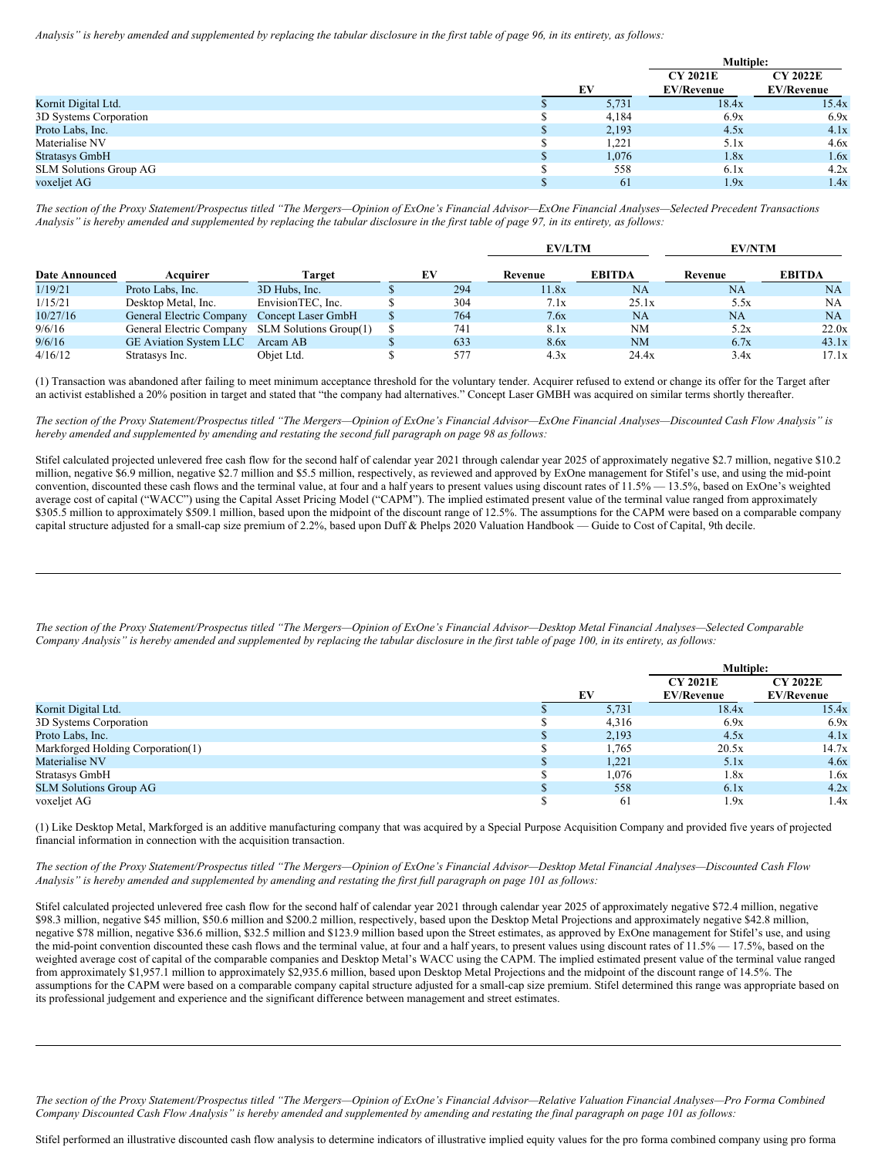Analysis" is hereby amended and supplemented by replacing the tabular disclosure in the first table of page 96, in its entirety, as follows:

|                               |       | <b>Multiple:</b>  |                   |
|-------------------------------|-------|-------------------|-------------------|
|                               |       | <b>CY 2021E</b>   | <b>CY 2022E</b>   |
|                               | EV    | <b>EV/Revenue</b> | <b>EV/Revenue</b> |
| Kornit Digital Ltd.           | 5,731 | 18.4x             | 15.4x             |
| 3D Systems Corporation        | 4,184 | 6.9x              | 6.9x              |
| Proto Labs, Inc.              | 2,193 | 4.5x              | 4.1x              |
| Materialise NV                | 1,221 | 5.1x              | 4.6x              |
| <b>Stratasys GmbH</b>         | 1,076 | 1.8x              | 1.6x              |
| <b>SLM Solutions Group AG</b> | 558   | 6.1x              | 4.2x              |
| voxeljet AG                   | 61    | 1.9x              | 1.4x              |

The section of the Proxy Statement/Prospectus titled "The Mergers-Opinion of ExOne's Financial Advisor-ExOne Financial Analyses-Selected Precedent Transactions Analysis" is hereby amended and supplemented by replacing the tabular disclosure in the first table of page 97, in its entirety, as follows:

|                       |                               |                        |  |     | <b>EV/LTM</b> |               | <b>EV/NTM</b> |               |
|-----------------------|-------------------------------|------------------------|--|-----|---------------|---------------|---------------|---------------|
| <b>Date Announced</b> | Acquirer                      | Target                 |  | EV  | Revenue       | <b>EBITDA</b> | Revenue       | <b>EBITDA</b> |
| 1/19/21               | Proto Labs, Inc.              | 3D Hubs. Inc.          |  | 294 | 1.8x          | NA            | NA            | NA            |
| 1/15/21               | Desktop Metal, Inc.           | EnvisionTEC, Inc.      |  | 304 | 7.1x          | 25.1x         | 5.5x          | NA            |
| 10/27/16              | General Electric Company      | Concept Laser GmbH     |  | 764 | 7.6x          | NA            | NA            | <b>NA</b>     |
| 9/6/16                | General Electric Company      | SLM Solutions Group(1) |  | 741 | 8.1x          | NM            | 5.2x          | 22.0x         |
| 9/6/16                | <b>GE Aviation System LLC</b> | Arcam AB               |  | 633 | 8.6x          | NM            | 6.7x          | 43.1x         |
| 4/16/12               | Stratasys Inc.                | Obiet Ltd.             |  | 577 | 4.3x          | 24.4x         | 3.4x          | 17.1x         |

(1) Transaction was abandoned after failing to meet minimum acceptance threshold for the voluntary tender. Acquirer refused to extend or change its offer for the Target after an activist established a 20% position in target and stated that "the company had alternatives." Concept Laser GMBH was acquired on similar terms shortly thereafter.

The section of the Proxy Statement/Prospectus titled "The Mergers-Opinion of ExOne's Financial Advisor-ExOne Financial Analyses-Discounted Cash Flow Analysis" is hereby amended and supplemented by amending and restating the second full paragraph on page 98 as follows:

Stifel calculated projected unlevered free cash flow for the second half of calendar year 2021 through calendar year 2025 of approximately negative \$2.7 million, negative \$10.2 million, negative \$6.9 million, negative \$2.7 million and \$5.5 million, respectively, as reviewed and approved by ExOne management for Stifel's use, and using the mid-point convention, discounted these cash flows and the terminal value, at four and a half years to present values using discount rates of 11.5% — 13.5%, based on ExOne's weighted average cost of capital ("WACC") using the Capital Asset Pricing Model ("CAPM"). The implied estimated present value of the terminal value ranged from approximately \$305.5 million to approximately \$509.1 million, based upon the midpoint of the discount range of 12.5%. The assumptions for the CAPM were based on a comparable company capital structure adjusted for a small-cap size premium of 2.2%, based upon Duff & Phelps 2020 Valuation Handbook — Guide to Cost of Capital, 9th decile.

The section of the Proxy Statement/Prospectus titled "The Mergers-Opinion of ExOne's Financial Advisor-Desktop Metal Financial Analyses-Selected Comparable Company Analysis" is hereby amended and supplemented by replacing the tabular disclosure in the first table of page 100, in its entirety, as follows:

|                                   |       | <b>Multiple:</b>                     |                                      |  |
|-----------------------------------|-------|--------------------------------------|--------------------------------------|--|
|                                   | EV    | <b>CY 2021E</b><br><b>EV/Revenue</b> | <b>CY 2022E</b><br><b>EV/Revenue</b> |  |
| Kornit Digital Ltd.               | 5.731 | 18.4x                                | 15.4x                                |  |
| 3D Systems Corporation            | 4,316 | 6.9x                                 | 6.9x                                 |  |
| Proto Labs, Inc.                  | 2,193 | 4.5x                                 | 4.1x                                 |  |
| Markforged Holding Corporation(1) | 1,765 | 20.5x                                | 14.7x                                |  |
| Materialise NV                    | 1,221 | 5.1x                                 | 4.6x                                 |  |
| Stratasys GmbH                    | 1,076 | 1.8x                                 | 1.6x                                 |  |
| <b>SLM Solutions Group AG</b>     | 558   | 6.1x                                 | 4.2x                                 |  |
| voxeljet AG                       | 61    | 1.9x                                 | 1.4x                                 |  |

(1) Like Desktop Metal, Markforged is an additive manufacturing company that was acquired by a Special Purpose Acquisition Company and provided five years of projected financial information in connection with the acquisition transaction.

The section of the Proxy Statement/Prospectus titled "The Mergers-Opinion of ExOne's Financial Advisor-Desktop Metal Financial Analyses-Discounted Cash Flow Analysis" is hereby amended and supplemented by amending and restating the first full paragraph on page 101 as follows:

Stifel calculated projected unlevered free cash flow for the second half of calendar year 2021 through calendar year 2025 of approximately negative \$72.4 million, negative \$98.3 million, negative \$45 million, \$50.6 million and \$200.2 million, respectively, based upon the Desktop Metal Projections and approximately negative \$42.8 million, negative \$78 million, negative \$36.6 million, \$32.5 million and \$123.9 million based upon the Street estimates, as approved by ExOne management for Stifel's use, and using the mid-point convention discounted these cash flows and the terminal value, at four and a half years, to present values using discount rates of 11.5% — 17.5%, based on the weighted average cost of capital of the comparable companies and Desktop Metal's WACC using the CAPM. The implied estimated present value of the terminal value ranged from approximately \$1,957.1 million to approximately \$2,935.6 million, based upon Desktop Metal Projections and the midpoint of the discount range of 14.5%. The assumptions for the CAPM were based on a comparable company capital structure adjusted for a small-cap size premium. Stifel determined this range was appropriate based on its professional judgement and experience and the significant difference between management and street estimates.

The section of the Proxy Statement/Prospectus titled "The Mergers-Opinion of ExOne's Financial Advisor-Relative Valuation Financial Analyses-Pro Forma Combined Company Discounted Cash Flow Analysis" is hereby amended and supplemented by amending and restating the final paragraph on page 101 as follows:

Stifel performed an illustrative discounted cash flow analysis to determine indicators of illustrative implied equity values for the pro forma combined company using pro forma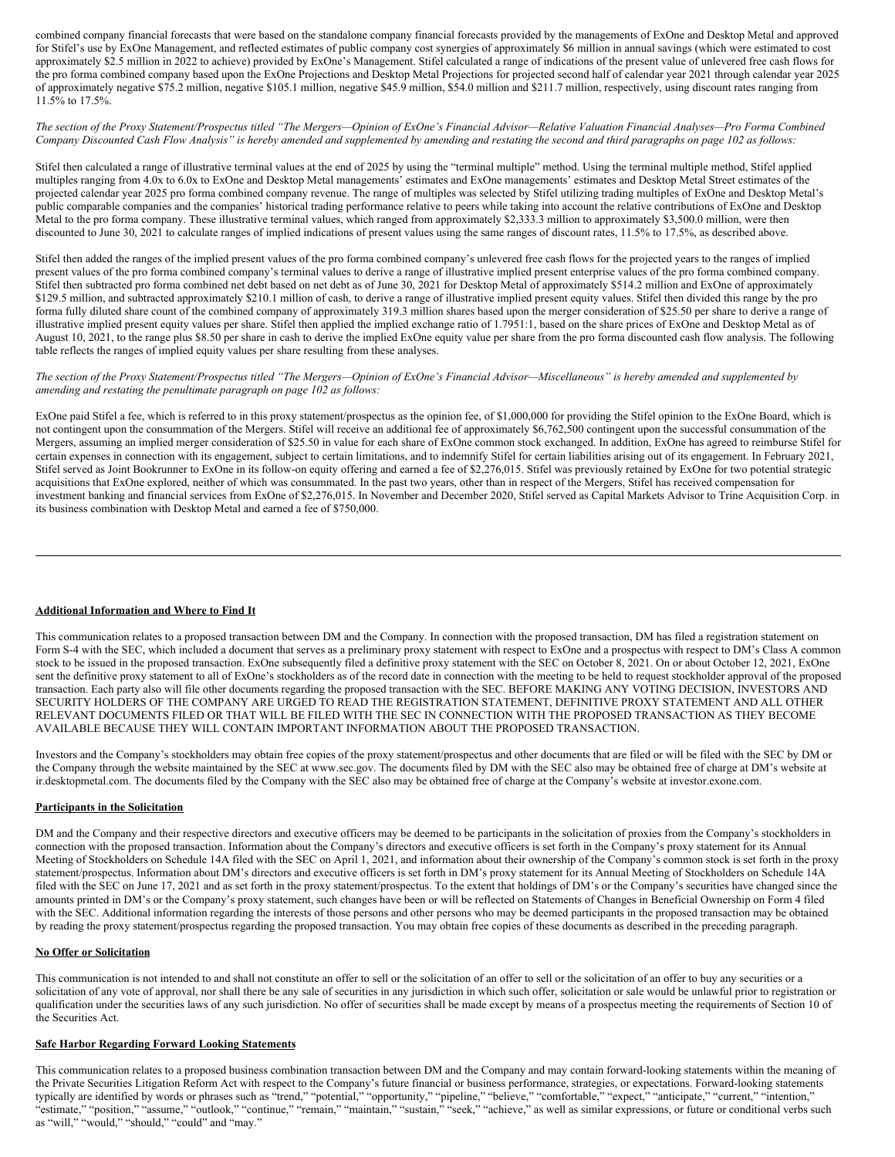combined company financial forecasts that were based on the standalone company financial forecasts provided by the managements of ExOne and Desktop Metal and approved for Stifel's use by ExOne Management, and reflected estimates of public company cost synergies of approximately \$6 million in annual savings (which were estimated to cost approximately \$2.5 million in 2022 to achieve) provided by ExOne's Management. Stifel calculated a range of indications of the present value of unlevered free cash flows for the pro forma combined company based upon the ExOne Projections and Desktop Metal Projections for projected second half of calendar year 2021 through calendar year 2025 of approximately negative \$75.2 million, negative \$105.1 million, negative \$45.9 million, \$54.0 million and \$211.7 million, respectively, using discount rates ranging from 11.5% to 17.5%.

The section of the Proxy Statement/Prospectus titled "The Mergers—Opinion of ExOne's Financial Advisor—Relative Valuation Financial Analyses—Pro Forma Combined Company Discounted Cash Flow Analysis" is hereby amended and supplemented by amending and restating the second and third paragraphs on page 102 as follows:

Stifel then calculated a range of illustrative terminal values at the end of 2025 by using the "terminal multiple" method. Using the terminal multiple method, Stifel applied multiples ranging from 4.0x to 6.0x to ExOne and Desktop Metal managements' estimates and ExOne managements' estimates and Desktop Metal Street estimates of the projected calendar year 2025 pro forma combined company revenue. The range of multiples was selected by Stifel utilizing trading multiples of ExOne and Desktop Metal's public comparable companies and the companies' historical trading performance relative to peers while taking into account the relative contributions of ExOne and Desktop Metal to the pro forma company. These illustrative terminal values, which ranged from approximately \$2,333.3 million to approximately \$3,500.0 million, were then discounted to June 30, 2021 to calculate ranges of implied indications of present values using the same ranges of discount rates, 11.5% to 17.5%, as described above.

Stifel then added the ranges of the implied present values of the pro forma combined company's unlevered free cash flows for the projected years to the ranges of implied present values of the pro forma combined company's terminal values to derive a range of illustrative implied present enterprise values of the pro forma combined company. Stifel then subtracted pro forma combined net debt based on net debt as of June 30, 2021 for Desktop Metal of approximately \$514.2 million and ExOne of approximately \$129.5 million, and subtracted approximately \$210.1 million of cash, to derive a range of illustrative implied present equity values. Stifel then divided this range by the pro forma fully diluted share count of the combined company of approximately 319.3 million shares based upon the merger consideration of \$25.50 per share to derive a range of illustrative implied present equity values per share. Stifel then applied the implied exchange ratio of 1.7951:1, based on the share prices of ExOne and Desktop Metal as of August 10, 2021, to the range plus \$8.50 per share in cash to derive the implied ExOne equity value per share from the pro forma discounted cash flow analysis. The following table reflects the ranges of implied equity values per share resulting from these analyses.

The section of the Proxy Statement/Prospectus titled "The Mergers-Opinion of ExOne's Financial Advisor-Miscellaneous" is hereby amended and supplemented by *amending and restating the penultimate paragraph on page 102 as follows:*

ExOne paid Stifel a fee, which is referred to in this proxy statement/prospectus as the opinion fee, of \$1,000,000 for providing the Stifel opinion to the ExOne Board, which is not contingent upon the consummation of the Mergers. Stifel will receive an additional fee of approximately \$6,762,500 contingent upon the successful consummation of the Mergers, assuming an implied merger consideration of \$25.50 in value for each share of ExOne common stock exchanged. In addition, ExOne has agreed to reimburse Stifel for certain expenses in connection with its engagement, subject to certain limitations, and to indemnify Stifel for certain liabilities arising out of its engagement. In February 2021, Stifel served as Joint Bookrunner to ExOne in its follow-on equity offering and earned a fee of \$2,276,015. Stifel was previously retained by ExOne for two potential strategic acquisitions that ExOne explored, neither of which was consummated. In the past two years, other than in respect of the Mergers, Stifel has received compensation for investment banking and financial services from ExOne of \$2,276,015. In November and December 2020, Stifel served as Capital Markets Advisor to Trine Acquisition Corp. in its business combination with Desktop Metal and earned a fee of \$750,000.

## **Additional Information and Where to Find It**

This communication relates to a proposed transaction between DM and the Company. In connection with the proposed transaction, DM has filed a registration statement on Form S-4 with the SEC, which included a document that serves as a preliminary proxy statement with respect to ExOne and a prospectus with respect to DM's Class A common stock to be issued in the proposed transaction. ExOne subsequently filed a definitive proxy statement with the SEC on October 8, 2021. On or about October 12, 2021, ExOne sent the definitive proxy statement to all of ExOne's stockholders as of the record date in connection with the meeting to be held to request stockholder approval of the proposed transaction. Each party also will file other documents regarding the proposed transaction with the SEC. BEFORE MAKING ANY VOTING DECISION, INVESTORS AND SECURITY HOLDERS OF THE COMPANY ARE URGED TO READ THE REGISTRATION STATEMENT, DEFINITIVE PROXY STATEMENT AND ALL OTHER RELEVANT DOCUMENTS FILED OR THAT WILL BE FILED WITH THE SEC IN CONNECTION WITH THE PROPOSED TRANSACTION AS THEY BECOME AVAILABLE BECAUSE THEY WILL CONTAIN IMPORTANT INFORMATION ABOUT THE PROPOSED TRANSACTION.

Investors and the Company's stockholders may obtain free copies of the proxy statement/prospectus and other documents that are filed or will be filed with the SEC by DM or the Company through the website maintained by the SEC at www.sec.gov. The documents filed by DM with the SEC also may be obtained free of charge at DM's website at ir.desktopmetal.com. The documents filed by the Company with the SEC also may be obtained free of charge at the Company's website at investor.exone.com.

## **Participants in the Solicitation**

DM and the Company and their respective directors and executive officers may be deemed to be participants in the solicitation of proxies from the Company's stockholders in connection with the proposed transaction. Information about the Company's directors and executive officers is set forth in the Company's proxy statement for its Annual Meeting of Stockholders on Schedule 14A filed with the SEC on April 1, 2021, and information about their ownership of the Company's common stock is set forth in the proxy statement/prospectus. Information about DM's directors and executive officers is set forth in DM's proxy statement for its Annual Meeting of Stockholders on Schedule 14A filed with the SEC on June 17, 2021 and as set forth in the proxy statement/prospectus. To the extent that holdings of DM's or the Company's securities have changed since the amounts printed in DM's or the Company's proxy statement, such changes have been or will be reflected on Statements of Changes in Beneficial Ownership on Form 4 filed with the SEC. Additional information regarding the interests of those persons and other persons who may be deemed participants in the proposed transaction may be obtained by reading the proxy statement/prospectus regarding the proposed transaction. You may obtain free copies of these documents as described in the preceding paragraph.

## **No Offer or Solicitation**

This communication is not intended to and shall not constitute an offer to sell or the solicitation of an offer to sell or the solicitation of an offer to buy any securities or a solicitation of any vote of approval, nor shall there be any sale of securities in any jurisdiction in which such offer, solicitation or sale would be unlawful prior to registration or qualification under the securities laws of any such jurisdiction. No offer of securities shall be made except by means of a prospectus meeting the requirements of Section 10 of the Securities Act.

## **Safe Harbor Regarding Forward Looking Statements**

This communication relates to a proposed business combination transaction between DM and the Company and may contain forward-looking statements within the meaning of the Private Securities Litigation Reform Act with respect to the Company's future financial or business performance, strategies, or expectations. Forward-looking statements typically are identified by words or phrases such as "trend," "potential," "opportunity," "pipeline," "believe," "comfortable," "expect," "anticipate," "current," "intention," "estimate," "position," "assume," "outlook," "continue," "remain," "maintain," "sustain," "seek," "achieve," as well as similar expressions, or future or conditional verbs such as "will," "would," "should," "could" and "may."